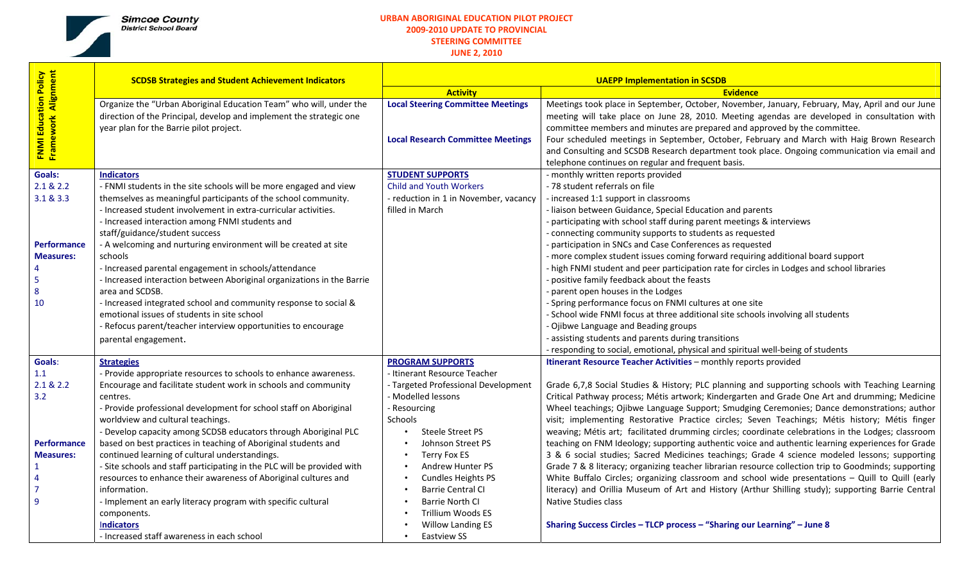

## **URBAN ABORIGINAL EDUCATION PILOT PROJECT 2009‐2010 UPDATE TO PROVINCIAL STEERING COMMITTEE**

**JUNE 2, 2010**

┱

| <b>FNMI Education Policy</b><br>Framework Alignment | <b>SCDSB Strategies and Student Achievement Indicators</b>              | <b>UAEPP Implementation in SCSDB</b>     |                                                                                                      |  |  |  |
|-----------------------------------------------------|-------------------------------------------------------------------------|------------------------------------------|------------------------------------------------------------------------------------------------------|--|--|--|
|                                                     |                                                                         | <b>Activity</b>                          | <b>Evidence</b>                                                                                      |  |  |  |
|                                                     | Organize the "Urban Aboriginal Education Team" who will, under the      | <b>Local Steering Committee Meetings</b> | Meetings took place in September, October, November, January, February, May, April and our June      |  |  |  |
|                                                     | direction of the Principal, develop and implement the strategic one     |                                          | meeting will take place on June 28, 2010. Meeting agendas are developed in consultation with         |  |  |  |
|                                                     | year plan for the Barrie pilot project.                                 |                                          | committee members and minutes are prepared and approved by the committee.                            |  |  |  |
|                                                     |                                                                         | <b>Local Research Committee Meetings</b> | Four scheduled meetings in September, October, February and March with Haig Brown Research           |  |  |  |
|                                                     |                                                                         |                                          | and Consulting and SCSDB Research department took place. Ongoing communication via email and         |  |  |  |
|                                                     |                                                                         |                                          | telephone continues on regular and frequent basis.                                                   |  |  |  |
| <b>Goals:</b>                                       | <b>Indicators</b>                                                       | <b>STUDENT SUPPORTS</b>                  | - monthly written reports provided                                                                   |  |  |  |
| 2.1 & 2.2                                           | - FNMI students in the site schools will be more engaged and view       | <b>Child and Youth Workers</b>           | - 78 student referrals on file                                                                       |  |  |  |
| 3.1 & 3.3                                           | themselves as meaningful participants of the school community.          | - reduction in 1 in November, vacancy    | - increased 1:1 support in classrooms                                                                |  |  |  |
|                                                     | - Increased student involvement in extra-curricular activities.         | filled in March                          | - liaison between Guidance, Special Education and parents                                            |  |  |  |
|                                                     | - Increased interaction among FNMI students and                         |                                          | - participating with school staff during parent meetings & interviews                                |  |  |  |
|                                                     | staff/guidance/student success                                          |                                          | - connecting community supports to students as requested                                             |  |  |  |
| <b>Performance</b>                                  | - A welcoming and nurturing environment will be created at site         |                                          | - participation in SNCs and Case Conferences as requested                                            |  |  |  |
| <b>Measures:</b>                                    | schools                                                                 |                                          | - more complex student issues coming forward requiring additional board support                      |  |  |  |
|                                                     | - Increased parental engagement in schools/attendance                   |                                          | - high FNMI student and peer participation rate for circles in Lodges and school libraries           |  |  |  |
| 5                                                   | - Increased interaction between Aboriginal organizations in the Barrie  |                                          | positive family feedback about the feasts                                                            |  |  |  |
| 8                                                   | area and SCDSB.                                                         |                                          | parent open houses in the Lodges                                                                     |  |  |  |
| 10                                                  | - Increased integrated school and community response to social &        |                                          | - Spring performance focus on FNMI cultures at one site                                              |  |  |  |
|                                                     | emotional issues of students in site school                             |                                          | - School wide FNMI focus at three additional site schools involving all students                     |  |  |  |
|                                                     | - Refocus parent/teacher interview opportunities to encourage           |                                          | - Ojibwe Language and Beading groups                                                                 |  |  |  |
|                                                     | parental engagement.                                                    |                                          | - assisting students and parents during transitions                                                  |  |  |  |
|                                                     |                                                                         |                                          | - responding to social, emotional, physical and spiritual well-being of students                     |  |  |  |
| Goals:                                              | <b>Strategies</b>                                                       | <b>PROGRAM SUPPORTS</b>                  | Itinerant Resource Teacher Activities - monthly reports provided                                     |  |  |  |
| 1.1                                                 | - Provide appropriate resources to schools to enhance awareness.        | - Itinerant Resource Teacher             |                                                                                                      |  |  |  |
| 2.1 & 2.2                                           | Encourage and facilitate student work in schools and community          | - Targeted Professional Development      | Grade 6,7,8 Social Studies & History; PLC planning and supporting schools with Teaching Learning     |  |  |  |
| 3.2                                                 | centres.                                                                | - Modelled lessons                       | Critical Pathway process; Métis artwork; Kindergarten and Grade One Art and drumming; Medicine       |  |  |  |
|                                                     | - Provide professional development for school staff on Aboriginal       | - Resourcing                             | Wheel teachings; Ojibwe Language Support; Smudging Ceremonies; Dance demonstrations; author          |  |  |  |
|                                                     | worldview and cultural teachings.                                       | <b>Schools</b>                           | visit; implementing Restorative Practice circles; Seven Teachings; Métis history; Métis finger       |  |  |  |
|                                                     | - Develop capacity among SCDSB educators through Aboriginal PLC         | Steele Street PS                         | weaving; Métis art; facilitated drumming circles; coordinate celebrations in the Lodges; classroom   |  |  |  |
| <b>Performance</b>                                  | based on best practices in teaching of Aboriginal students and          | Johnson Street PS                        | teaching on FNM Ideology; supporting authentic voice and authentic learning experiences for Grade    |  |  |  |
| <b>Measures:</b>                                    | continued learning of cultural understandings.                          | Terry Fox ES                             | 3 & 6 social studies; Sacred Medicines teachings; Grade 4 science modeled lessons; supporting        |  |  |  |
|                                                     | - Site schools and staff participating in the PLC will be provided with | Andrew Hunter PS                         | Grade 7 & 8 literacy; organizing teacher librarian resource collection trip to Goodminds; supporting |  |  |  |
| 4                                                   | resources to enhance their awareness of Aboriginal cultures and         | <b>Cundles Heights PS</b>                | White Buffalo Circles; organizing classroom and school wide presentations - Quill to Quill (early    |  |  |  |
|                                                     | information.                                                            | <b>Barrie Central CI</b>                 | literacy) and Orillia Museum of Art and History (Arthur Shilling study); supporting Barrie Central   |  |  |  |
| 9                                                   | - Implement an early literacy program with specific cultural            | Barrie North CI                          | Native Studies class                                                                                 |  |  |  |
|                                                     | components.                                                             | Trillium Woods ES                        |                                                                                                      |  |  |  |
|                                                     | Indicators                                                              | <b>Willow Landing ES</b>                 | Sharing Success Circles - TLCP process - "Sharing our Learning" - June 8                             |  |  |  |
|                                                     | - Increased staff awareness in each school                              | <b>Eastview SS</b>                       |                                                                                                      |  |  |  |